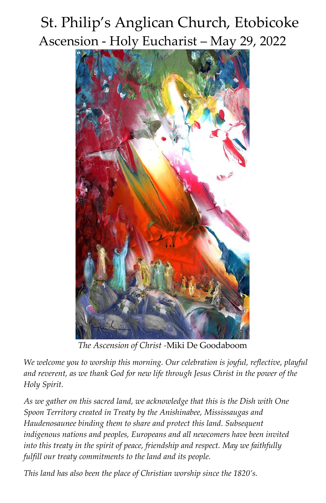# St. Philip's Anglican Church, Etobicoke Ascension - Holy Eucharist – May 29, 2022



*The Ascension of Christ -*Miki De Goodaboom

*We welcome you to worship this morning. Our celebration is joyful, reflective, playful and reverent, as we thank God for new life through Jesus Christ in the power of the Holy Spirit.*

*As we gather on this sacred land, we acknowledge that this is the Dish with One Spoon Territory created in Treaty by the Anishinabee, Mississaugas and Haudenosaunee binding them to share and protect this land. Subsequent indigenous nations and peoples, Europeans and all newcomers have been invited into this treaty in the spirit of peace, friendship and respect. May we faithfully fulfill our treaty commitments to the land and its people.*

*This land has also been the place of Christian worship since the 1820's.*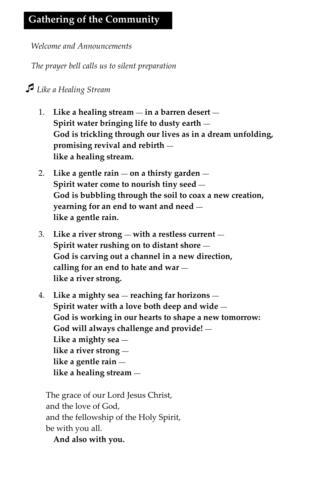*Welcome and Announcements*

*The prayer bell calls us to silent preparation*

## *Like a Healing Stream*

- 1. **Like a healing stream** *—* **in a barren desert** *—* **Spirit water bringing life to dusty earth** *—* **God is trickling through our lives as in a dream unfolding, promising revival and rebirth**  **like a healing stream.**
- 2. **Like a gentle rain** *—* **on a thirsty garden** *—* **Spirit water come to nourish tiny seed** *—* **God is bubbling through the soil to coax a new creation, yearning for an end to want and need**  **like a gentle rain.**
- 3. **Like a river strong** *—* **with a restless current** *—* **Spirit water rushing on to distant shore** *—* **God is carving out a channel in a new direction, calling for an end to hate and war**  **like a river strong.**
- 4. **Like a mighty sea** *—* **reaching far horizons** *—* **Spirit water with a love both deep and wide** *—* **God is working in our hearts to shape a new tomorrow: God will always challenge and provide!** *—* **Like a mighty sea**  **like a river strong**  **like a gentle rain**  **like a healing stream** *—*

The grace of our Lord Jesus Christ, and the love of God, and the fellowship of the Holy Spirit, be with you all.

**And also with you.**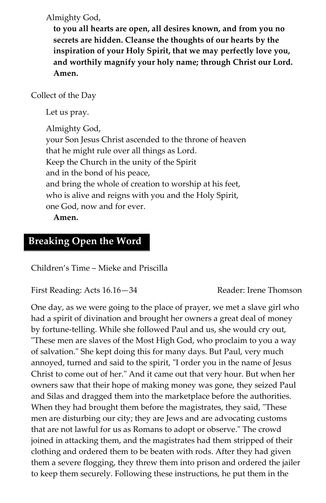Almighty God,

**to you all hearts are open, all desires known, and from you no secrets are hidden. Cleanse the thoughts of our hearts by the inspiration of your Holy Spirit, that we may perfectly love you, and worthily magnify your holy name; through Christ our Lord. Amen.**

Collect of the Day

Let us pray.

Almighty God, your Son Jesus Christ ascended to the throne of heaven that he might rule over all things as Lord. Keep the Church in the unity of the Spirit and in the bond of his peace, and bring the whole of creation to worship at his feet, who is alive and reigns with you and the Holy Spirit, one God, now and for ever.

**Amen.**

#### **Breaking Open the Word**

Children's Time – Mieke and Priscilla

First Reading: Acts 16.16–34 Reader: Irene Thomson

One day, as we were going to the place of prayer, we met a slave girl who had a spirit of divination and brought her owners a great deal of money by fortune-telling. While she followed Paul and us, she would cry out, "These men are slaves of the Most High God, who proclaim to you a way of salvation." She kept doing this for many days. But Paul, very much annoyed, turned and said to the spirit, "I order you in the name of Jesus Christ to come out of her." And it came out that very hour. But when her owners saw that their hope of making money was gone, they seized Paul and Silas and dragged them into the marketplace before the authorities. When they had brought them before the magistrates, they said, "These men are disturbing our city; they are Jews and are advocating customs that are not lawful for us as Romans to adopt or observe." The crowd joined in attacking them, and the magistrates had them stripped of their clothing and ordered them to be beaten with rods. After they had given them a severe flogging, they threw them into prison and ordered the jailer to keep them securely. Following these instructions, he put them in the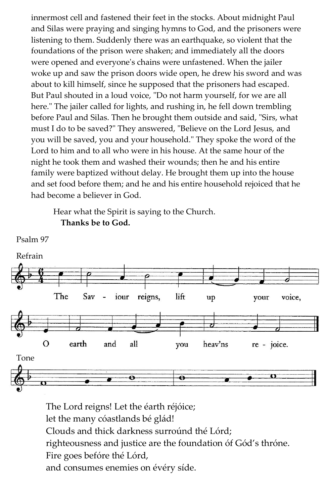innermost cell and fastened their feet in the stocks. About midnight Paul and Silas were praying and singing hymns to God, and the prisoners were listening to them. Suddenly there was an earthquake, so violent that the foundations of the prison were shaken; and immediately all the doors were opened and everyone's chains were unfastened. When the jailer woke up and saw the prison doors wide open, he drew his sword and was about to kill himself, since he supposed that the prisoners had escaped. But Paul shouted in a loud voice, "Do not harm yourself, for we are all here." The jailer called for lights, and rushing in, he fell down trembling before Paul and Silas. Then he brought them outside and said, "Sirs, what must I do to be saved?" They answered, "Believe on the Lord Jesus, and you will be saved, you and your household." They spoke the word of the Lord to him and to all who were in his house. At the same hour of the night he took them and washed their wounds; then he and his entire family were baptized without delay. He brought them up into the house and set food before them; and he and his entire household rejoiced that he had become a believer in God.

Hear what the Spirit is saying to the Church. **Thanks be to God.**



The Lord reigns! Let the éarth réjóice; let the many cóastlands bé glád! Clouds and thick darkness surroúnd thé Lórd; righteousness and justice are the foundation óf Gód's thróne. Fire goes befóre thé Lórd, and consumes enemies on évéry síde.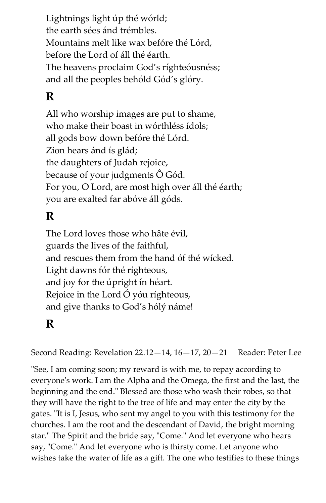Lightnings light úp thé wórld; the earth sées ánd trémbles. Mountains melt like wax befóre thé Lórd, before the Lord of áll thé éarth. The heavens proclaim God's ríghteóusnéss; and all the peoples behóld Gód's glóry.

# **R**

All who worship images are put to shame, who make their boast in wórthléss ídols; all gods bow down befóre thé Lórd. Zion hears ánd ís glád; the daughters of Judah rejoice, because of your judgments Ô Gód. For you, O Lord, are most high over áll thé éarth; you are exalted far abóve áll góds.

# **R**

The Lord loves those who hâte évil, guards the lives of the faithful, and rescues them from the hand óf thé wícked. Light dawns fór thé ríghteous, and joy for the úpright ín héart. Rejoice in the Lord Ó yóu ríghteous, and give thanks to God's hólý náme!

## **R**

Second Reading: Revelation  $22.12-14$ ,  $16-17$ ,  $20-21$  Reader: Peter Lee

"See, I am coming soon; my reward is with me, to repay according to everyone's work. I am the Alpha and the Omega, the first and the last, the beginning and the end." Blessed are those who wash their robes, so that they will have the right to the tree of life and may enter the city by the gates. "It is I, Jesus, who sent my angel to you with this testimony for the churches. I am the root and the descendant of David, the bright morning star." The Spirit and the bride say, "Come." And let everyone who hears say, "Come." And let everyone who is thirsty come. Let anyone who wishes take the water of life as a gift. The one who testifies to these things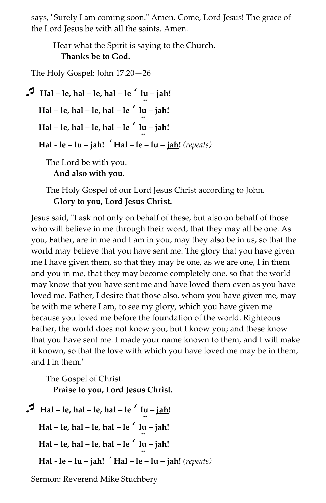says, "Surely I am coming soon." Amen. Come, Lord Jesus! The grace of the Lord Jesus be with all the saints. Amen.

Hear what the Spirit is saying to the Church. **Thanks be to God.**

The Holy Gospel: John 17.20—26

**Hal**  $-$  **le**, hal  $-$  **le**, hal  $-$  **le**  $\prime$  **lu**  $-$  **jah! Hal – le, hal – le, hal – le** *'* **lu – jah! .. Hal – le, hal – le, hal – le** *'* **lu – jah! .. Hal - le – lu – jah!** *'* **Hal – le – lu – jah!** *(repeats)* The Lord be with you.

**And also with you.**

The Holy Gospel of our Lord Jesus Christ according to John. **Glory to you, Lord Jesus Christ.**

Jesus said, "I ask not only on behalf of these, but also on behalf of those who will believe in me through their word, that they may all be one. As you, Father, are in me and I am in you, may they also be in us, so that the world may believe that you have sent me. The glory that you have given me I have given them, so that they may be one, as we are one, I in them and you in me, that they may become completely one, so that the world may know that you have sent me and have loved them even as you have loved me. Father, I desire that those also, whom you have given me, may be with me where I am, to see my glory, which you have given me because you loved me before the foundation of the world. Righteous Father, the world does not know you, but I know you; and these know that you have sent me. I made your name known to them, and I will make it known, so that the love with which you have loved me may be in them, and I in them."

The Gospel of Christ. **Praise to you, Lord Jesus Christ.**

```
\intHal – le, hal – le, hal – le \int lu – jah!
 Hal – le, hal – le, hal – le ' lu – jah!
 ..
Hal – le, hal – le, hal – le ' lu – jah!
 ..
    Hal - le – lu – jah! ' Hal – le – lu – jah! (repeats)
```
Sermon: Reverend Mike Stuchbery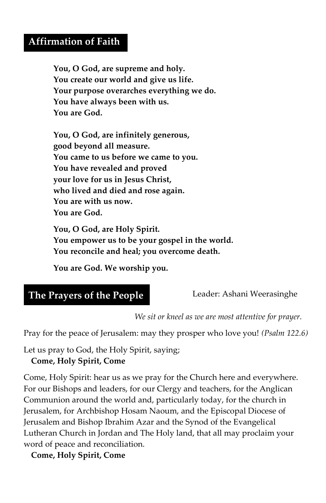#### **Affirmation of Faith**

**You, O God, are supreme and holy. You create our world and give us life. Your purpose overarches everything we do. You have always been with us. You are God.**

**You, O God, are infinitely generous, good beyond all measure. You came to us before we came to you. You have revealed and proved your love for us in Jesus Christ, who lived and died and rose again. You are with us now. You are God.**

**You, O God, are Holy Spirit. You empower us to be your gospel in the world. You reconcile and heal; you overcome death.**

**You are God. We worship you.**

| The Prayers of the People |
|---------------------------|
|---------------------------|

Leader: Ashani Weerasinghe

*We sit or kneel as we are most attentive for prayer.*

Pray for the peace of Jerusalem: may they prosper who love you! *(Psalm 122.6)*

Let us pray to God, the Holy Spirit, saying;

#### **Come, Holy Spirit, Come**

Come, Holy Spirit: hear us as we pray for the Church here and everywhere. For our Bishops and leaders, for our Clergy and teachers, for the Anglican Communion around the world and, particularly today, for the church in Jerusalem, for Archbishop Hosam Naoum, and the Episcopal Diocese of Jerusalem and Bishop Ibrahim Azar and the Synod of the Evangelical Lutheran Church in Jordan and The Holy land, that all may proclaim your word of peace and reconciliation.

**Come, Holy Spirit, Come**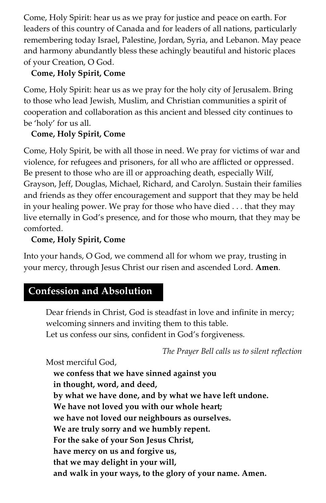Come, Holy Spirit: hear us as we pray for justice and peace on earth. For leaders of this country of Canada and for leaders of all nations, particularly remembering today Israel, Palestine, Jordan, Syria, and Lebanon. May peace and harmony abundantly bless these achingly beautiful and historic places of your Creation, O God.

#### **Come, Holy Spirit, Come**

Come, Holy Spirit: hear us as we pray for the holy city of Jerusalem. Bring to those who lead Jewish, Muslim, and Christian communities a spirit of cooperation and collaboration as this ancient and blessed city continues to be 'holy' for us all.

#### **Come, Holy Spirit, Come**

Come, Holy Spirit, be with all those in need. We pray for victims of war and violence, for refugees and prisoners, for all who are afflicted or oppressed. Be present to those who are ill or approaching death, especially Wilf, Grayson, Jeff, Douglas, Michael, Richard, and Carolyn. Sustain their families and friends as they offer encouragement and support that they may be held in your healing power. We pray for those who have died . . . that they may live eternally in God's presence, and for those who mourn, that they may be comforted.

#### **Come, Holy Spirit, Come**

Into your hands, O God, we commend all for whom we pray, trusting in your mercy, through Jesus Christ our risen and ascended Lord. **Amen**.

# **Confession and Absolution**

Dear friends in Christ, God is steadfast in love and infinite in mercy; welcoming sinners and inviting them to this table. Let us confess our sins, confident in God's forgiveness.

*The Prayer Bell calls us to silent reflection*

Most merciful God,

**we confess that we have sinned against you in thought, word, and deed, by what we have done, and by what we have left undone. We have not loved you with our whole heart; we have not loved our neighbours as ourselves. We are truly sorry and we humbly repent. For the sake of your Son Jesus Christ, have mercy on us and forgive us, that we may delight in your will, and walk in your ways, to the glory of your name. Amen.**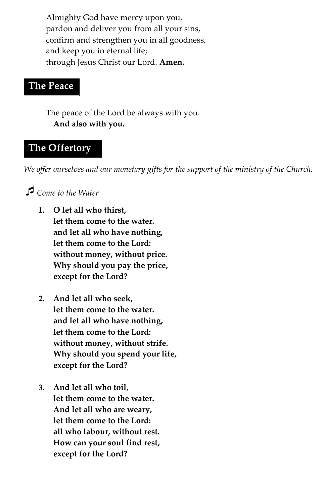Almighty God have mercy upon you, pardon and deliver you from all your sins, confirm and strengthen you in all goodness, and keep you in eternal life; through Jesus Christ our Lord. **Amen.**

#### **The Peace**

The peace of the Lord be always with you. **And also with you.**

## **The Offertory**

*We offer ourselves and our monetary gifts for the support of the ministry of the Church.*

## *Come to the Water*

- **1. O let all who thirst, let them come to the water. and let all who have nothing, let them come to the Lord: without money, without price. Why should you pay the price, except for the Lord?**
- **2. And let all who seek, let them come to the water. and let all who have nothing, let them come to the Lord: without money, without strife. Why should you spend your life, except for the Lord?**
- **3. And let all who toil, let them come to the water. And let all who are weary, let them come to the Lord: all who labour, without rest. How can your soul find rest, except for the Lord?**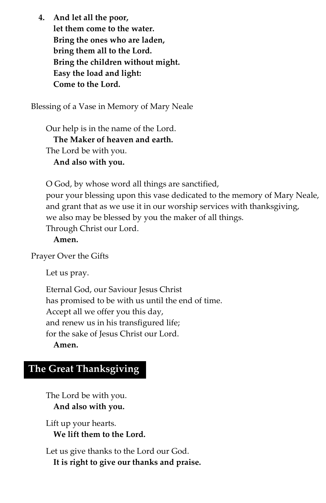**4. And let all the poor, let them come to the water. Bring the ones who are laden, bring them all to the Lord. Bring the children without might. Easy the load and light: Come to the Lord.**

Blessing of a Vase in Memory of Mary Neale

Our help is in the name of the Lord. **The Maker of heaven and earth.** The Lord be with you. **And also with you.**

O God, by whose word all things are sanctified, pour your blessing upon this vase dedicated to the memory of Mary Neale, and grant that as we use it in our worship services with thanksgiving, we also may be blessed by you the maker of all things. Through Christ our Lord.

#### **Amen.**

Prayer Over the Gifts

Let us pray.

Eternal God, our Saviour Jesus Christ has promised to be with us until the end of time. Accept all we offer you this day, and renew us in his transfigured life; for the sake of Jesus Christ our Lord. **Amen.**

#### **The Great Thanksgiving**

The Lord be with you. **And also with you.**

Lift up your hearts. **We lift them to the Lord.** 

Let us give thanks to the Lord our God. **It is right to give our thanks and praise.**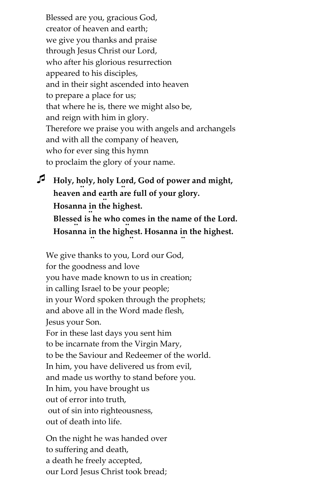Blessed are you, gracious God, creator of heaven and earth; we give you thanks and praise through Jesus Christ our Lord, who after his glorious resurrection appeared to his disciples, and in their sight ascended into heaven to prepare a place for us; that where he is, there we might also be, and reign with him in glory. Therefore we praise you with angels and archangels and with all the company of heaven, who for ever sing this hymn to proclaim the glory of your name.

 **Holy, holy, holy Lord, God of power and might, .. .. heaven and earth are full of your glory. .. Hosanna in the highest. .. Blessed is he who comes in the name of the Lord. Hosanna in the highest. Hosanna in the highest. .. .. ..**

We give thanks to you, Lord our God, for the goodness and love you have made known to us in creation; in calling Israel to be your people; in your Word spoken through the prophets; and above all in the Word made flesh, Jesus your Son. For in these last days you sent him to be incarnate from the Virgin Mary, to be the Saviour and Redeemer of the world. In him, you have delivered us from evil, and made us worthy to stand before you. In him, you have brought us out of error into truth, out of sin into righteousness, out of death into life.

On the night he was handed over to suffering and death, a death he freely accepted, our Lord Jesus Christ took bread;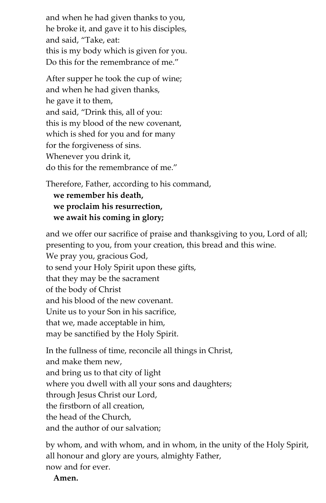and when he had given thanks to you, he broke it, and gave it to his disciples, and said, "Take, eat: this is my body which is given for you. Do this for the remembrance of me."

After supper he took the cup of wine; and when he had given thanks, he gave it to them, and said, "Drink this, all of you: this is my blood of the new covenant, which is shed for you and for many for the forgiveness of sins. Whenever you drink it, do this for the remembrance of me."

Therefore, Father, according to his command, **we remember his death, we proclaim his resurrection, we await his coming in glory;** 

and we offer our sacrifice of praise and thanksgiving to you, Lord of all; presenting to you, from your creation, this bread and this wine.

We pray you, gracious God,

to send your Holy Spirit upon these gifts,

that they may be the sacrament

of the body of Christ

and his blood of the new covenant.

Unite us to your Son in his sacrifice,

that we, made acceptable in him,

may be sanctified by the Holy Spirit.

In the fullness of time, reconcile all things in Christ, and make them new, and bring us to that city of light where you dwell with all your sons and daughters; through Jesus Christ our Lord, the firstborn of all creation, the head of the Church, and the author of our salvation;

by whom, and with whom, and in whom, in the unity of the Holy Spirit, all honour and glory are yours, almighty Father, now and for ever.

**Amen.**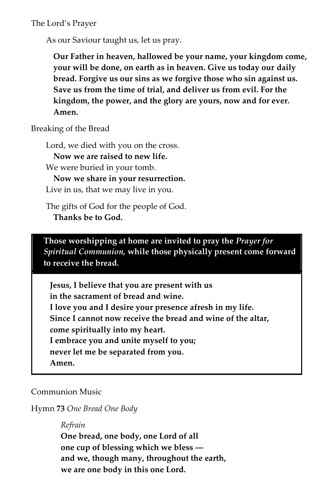The Lord's Prayer

As our Saviour taught us, let us pray.

**Our Father in heaven, hallowed be your name, your kingdom come, your will be done, on earth as in heaven. Give us today our daily bread. Forgive us our sins as we forgive those who sin against us. Save us from the time of trial, and deliver us from evil. For the kingdom, the power, and the glory are yours, now and for ever. Amen.**

Breaking of the Bread

Lord, we died with you on the cross. **Now we are raised to new life.** We were buried in your tomb. **Now we share in your resurrection.** Live in us, that we may live in you.

The gifts of God for the people of God. **Thanks be to God.**

**Those worshipping at home are invited to pray the** *Prayer for Spiritual Communion,* **while those physically present come forward to receive the bread.**

**Jesus, I believe that you are present with us in the sacrament of bread and wine. I love you and I desire your presence afresh in my life. Since I cannot now receive the bread and wine of the altar, come spiritually into my heart. I embrace you and unite myself to you; never let me be separated from you. Amen.**

Communion Music

Hymn **73** *One Bread One Body*

*Refrain*

**One bread, one body, one Lord of all one cup of blessing which we bless ― and we, though many, throughout the earth, we are one body in this one Lord.**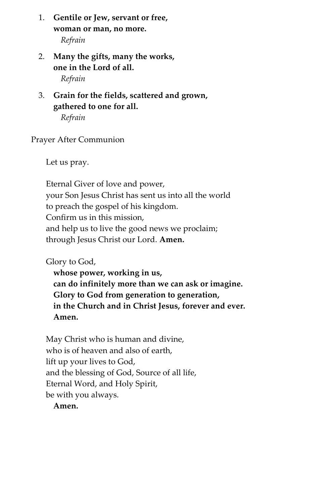- 1. **Gentile or Jew, servant or free, woman or man, no more.** *Refrain*
- 2. **Many the gifts, many the works, one in the Lord of all.** *Refrain*
- 3. **Grain for the fields, scattered and grown, gathered to one for all.**

*Refrain*

Prayer After Communion

Let us pray.

Eternal Giver of love and power, your Son Jesus Christ has sent us into all the world to preach the gospel of his kingdom. Confirm us in this mission, and help us to live the good news we proclaim; through Jesus Christ our Lord. **Amen.**

Glory to God,

**whose power, working in us, can do infinitely more than we can ask or imagine. Glory to God from generation to generation, in the Church and in Christ Jesus, forever and ever. Amen.**

May Christ who is human and divine, who is of heaven and also of earth, lift up your lives to God, and the blessing of God, Source of all life, Eternal Word, and Holy Spirit, be with you always.

**Amen.**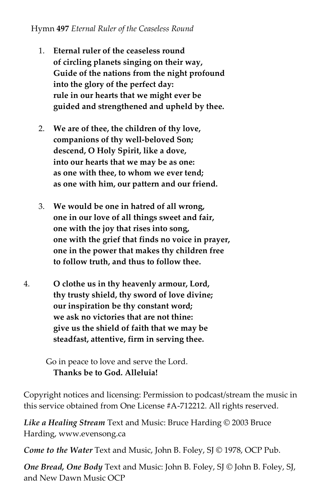#### Hymn **497** *Eternal Ruler of the Ceaseless Round*

- 1. **Eternal ruler of the ceaseless round of circling planets singing on their way, Guide of the nations from the night profound into the glory of the perfect day: rule in our hearts that we might ever be guided and strengthened and upheld by thee.**
- 2. **We are of thee, the children of thy love, companions of thy well-beloved Son; descend, O Holy Spirit, like a dove, into our hearts that we may be as one: as one with thee, to whom we ever tend; as one with him, our pattern and our friend.**
- 3. **We would be one in hatred of all wrong, one in our love of all things sweet and fair, one with the joy that rises into song, one with the grief that finds no voice in prayer, one in the power that makes thy children free to follow truth, and thus to follow thee.**
- 4. **O clothe us in thy heavenly armour, Lord, thy trusty shield, thy sword of love divine; our inspiration be thy constant word; we ask no victories that are not thine: give us the shield of faith that we may be steadfast, attentive, firm in serving thee.**

Go in peace to love and serve the Lord. **Thanks be to God. Alleluia!**

Copyright notices and licensing: Permission to podcast/stream the music in this service obtained from One License #A-712212. All rights reserved.

*Like a Healing Stream* Text and Music: Bruce Harding © 2003 Bruce Harding, www.evensong.ca

*Come to the Water* Text and Music, John B. Foley, SJ © 1978, OCP Pub.

*One Bread, One Body* Text and Music: John B. Foley, SJ © John B. Foley, SJ, and New Dawn Music OCP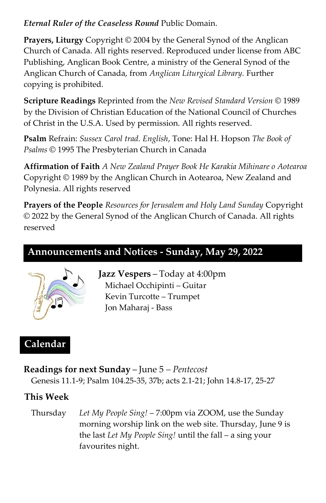#### *Eternal Ruler of the Ceaseless Round* Public Domain.

**Prayers, Liturgy** Copyright © 2004 by the General Synod of the Anglican Church of Canada. All rights reserved. Reproduced under license from ABC Publishing, Anglican Book Centre, a ministry of the General Synod of the Anglican Church of Canada, from *Anglican Liturgical Library.* Further copying is prohibited.

**Scripture Readings** Reprinted from the *New Revised Standard Version* © 1989 by the Division of Christian Education of the National Council of Churches of Christ in the U.S.A. Used by permission. All rights reserved.

**Psalm** Refrain: *Sussex Carol trad. English*, Tone: Hal H. Hopson *The Book of Psalms* © 1995 The Presbyterian Church in Canada

**Affirmation of Faith** *A New Zealand Prayer Book He Karakia Mihinare o Aotearoa* Copyright © 1989 by the Anglican Church in Aotearoa, New Zealand and Polynesia. All rights reserved

**Prayers of the People** *Resources for Jerusalem and Holy Land Sunday* Copyright © 2022 by the General Synod of the Anglican Church of Canada. All rights reserved

# **Announcements and Notices - Sunday, May 29, 2022**



**Jazz Vespers** – Today at 4:00pm Michael Occhipinti – Guitar Kevin Turcotte – Trumpet Jon Maharaj - Bass

# **Calendar**

**Readings for next Sunday** – June 5 *– Pentecost* Genesis 11.1-9; Psalm 104.25-35, 37b; acts 2.1-21; John 14.8-17, 25-27

## **This Week**

Thursday *Let My People Sing!* – 7:00pm via ZOOM, use the Sunday morning worship link on the web site. Thursday, June 9 is the last *Let My People Sing!* until the fall – a sing your favourites night.